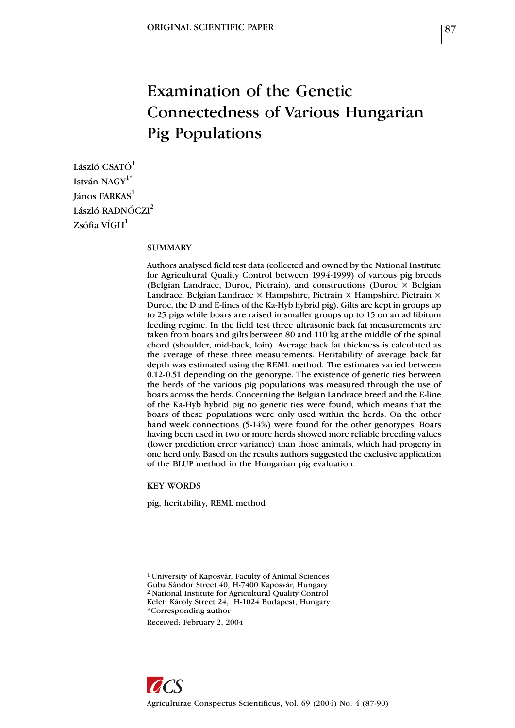# Examination of the Genetic Connectedness of Various Hungarian Pig Populations

László CSATÓ<sup>1</sup> István NAGY<sup>1\*</sup>  $I$ ános FARKAS $<sup>1</sup>$ </sup> László RADNÓCZI<sup>2</sup>  $Zs$ ófia VÍGH $<sup>1</sup>$ </sup>

## SUMMARY

Authors analysed field test data (collected and owned by the National Institute for Agricultural Quality Control between 1994-1999) of various pig breeds (Belgian Landrace, Duroc, Pietrain), and constructions (Duroc  $\times$  Belgian Landrace, Belgian Landrace × Hampshire, Pietrain × Hampshire, Pietrain × Duroc, the D and E-lines of the Ka-Hyb hybrid pig). Gilts are kept in groups up to 25 pigs while boars are raised in smaller groups up to 15 on an ad libitum feeding regime. In the field test three ultrasonic back fat measurements are taken from boars and gilts between 80 and 110 kg at the middle of the spinal chord (shoulder, mid-back, loin). Average back fat thickness is calculated as the average of these three measurements. Heritability of average back fat depth was estimated using the REML method. The estimates varied between 0.12-0.51 depending on the genotype. The existence of genetic ties between the herds of the various pig populations was measured through the use of boars across the herds. Concerning the Belgian Landrace breed and the E-line of the Ka-Hyb hybrid pig no genetic ties were found, which means that the boars of these populations were only used within the herds. On the other hand week connections (5-14%) were found for the other genotypes. Boars having been used in two or more herds showed more reliable breeding values (lower prediction error variance) than those animals, which had progeny in one herd only. Based on the results authors suggested the exclusive application of the BLUP method in the Hungarian pig evaluation.

KEY WORDS

pig, heritability, REML method

1 University of Kaposvár, Faculty of Animal Sciences Guba Sándor Street 40, H-7400 Kaposvár, Hungary 2 National Institute for Agricultural Quality Control Keleti Károly Street 24, H-1024 Budapest, Hungary \*Corresponding author

Received: February 2, 2004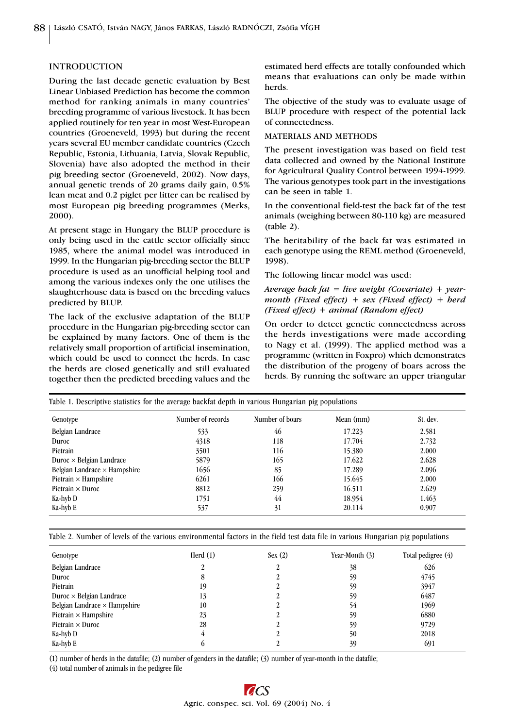### INTRODUCTION

During the last decade genetic evaluation by Best Linear Unbiased Prediction has become the common method for ranking animals in many countries' breeding programme of various livestock. It has been applied routinely for ten year in most West-European countries (Groeneveld, 1993) but during the recent years several EU member candidate countries (Czech Republic, Estonia, Lithuania, Latvia, Slovak Republic, Slovenia) have also adopted the method in their pig breeding sector (Groeneveld, 2002). Now days, annual genetic trends of 20 grams daily gain, 0.5% lean meat and 0.2 piglet per litter can be realised by most European pig breeding programmes (Merks, 2000).

At present stage in Hungary the BLUP procedure is only being used in the cattle sector officially since 1985, where the animal model was introduced in 1999. In the Hungarian pig-breeding sector the BLUP procedure is used as an unofficial helping tool and among the various indexes only the one utilises the slaughterhouse data is based on the breeding values predicted by BLUP.

The lack of the exclusive adaptation of the BLUP procedure in the Hungarian pig-breeding sector can be explained by many factors. One of them is the relatively small proportion of artificial insemination, which could be used to connect the herds. In case the herds are closed genetically and still evaluated together then the predicted breeding values and the estimated herd effects are totally confounded which means that evaluations can only be made within herds.

The objective of the study was to evaluate usage of BLUP procedure with respect of the potential lack of connectedness.

#### MATERIALS AND METHODS

The present investigation was based on field test data collected and owned by the National Institute for Agricultural Quality Control between 1994-1999. The various genotypes took part in the investigations can be seen in table 1.

In the conventional field-test the back fat of the test animals (weighing between 80-110 kg) are measured (table 2).

The heritability of the back fat was estimated in each genotype using the REML method (Groeneveld, 1998).

The following linear model was used:

# *Average back fat = live weight (Covariate) + yearmonth (Fixed effect) + sex (Fixed effect) + herd (Fixed effect) + animal (Random effect)*

On order to detect genetic connectedness across the herds investigations were made according to Nagy et al. (1999). The applied method was a programme (written in Foxpro) which demonstrates the distribution of the progeny of boars across the herds. By running the software an upper triangular

| Genotype                            | Number of records | Number of boars | Mean (mm) | St. dev. |
|-------------------------------------|-------------------|-----------------|-----------|----------|
| Belgian Landrace                    | 533               | 46              | 17.223    | 2.581    |
| Duroc                               | 4318              | 118             | 17.704    | 2.732    |
| Pietrain                            | 3501              | 116             | 15.380    | 2.000    |
| Duroc $\times$ Belgian Landrace     | 5879              | 165             | 17.622    | 2.628    |
| Belgian Landrace $\times$ Hampshire | 1656              | 85              | 17.289    | 2.096    |
| Pietrain $\times$ Hampshire         | 6261              | 166             | 15.645    | 2.000    |
| Pietrain $\times$ Duroc             | 8812              | 259             | 16.511    | 2.629    |
| Ka-hyb D                            | 1751              | 44              | 18.954    | 1.463    |
| Ka-hyb E                            | 537               | 31              | 20.114    | 0.907    |

Table 2. Number of levels of the various environmental factors in the field test data file in various Hungarian pig populations

| Genotype                            | Herd $(1)$ | Sex(2) | Year-Month (3) | Total pedigree (4) |
|-------------------------------------|------------|--------|----------------|--------------------|
| Belgian Landrace                    |            |        | 38             | 626                |
| Duroc                               | 8          |        | 59             | 4745               |
| Pietrain                            | 19         |        | 59             | 3947               |
| Duroc $\times$ Belgian Landrace     | 13         |        | 59             | 6487               |
| Belgian Landrace $\times$ Hampshire | 10         |        | 54             | 1969               |
| Pietrain $\times$ Hampshire         | 23         |        | 59             | 6880               |
| Pietrain $\times$ Duroc             | 28         |        | 59             | 9729               |
| Ka-hyb D                            |            |        | 50             | 2018               |
| Ka-hyb E                            |            |        | 39             | 691                |

(1) number of herds in the datafile; (2) number of genders in the datafile; (3) number of year-month in the datafile;

(4) total number of animals in the pedigree file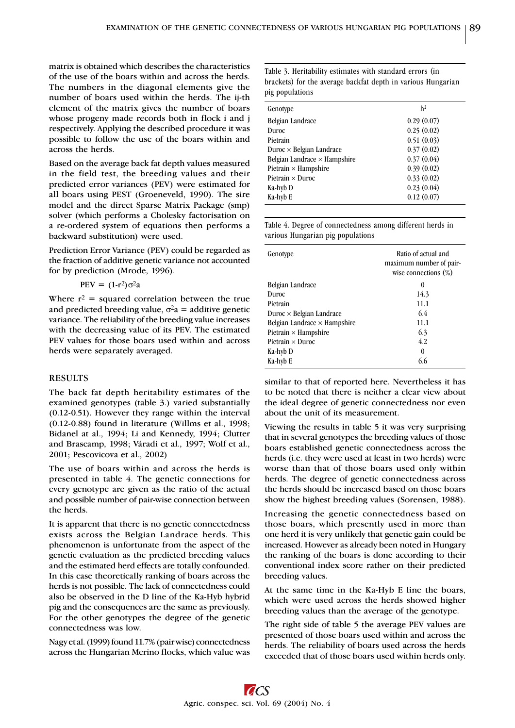matrix is obtained which describes the characteristics of the use of the boars within and across the herds. The numbers in the diagonal elements give the number of boars used within the herds. The ij-th element of the matrix gives the number of boars whose progeny made records both in flock i and j respectively. Applying the described procedure it was possible to follow the use of the boars within and across the herds.

Based on the average back fat depth values measured in the field test, the breeding values and their predicted error variances (PEV) were estimated for all boars using PEST (Groeneveld, 1990). The sire model and the direct Sparse Matrix Package (smp) solver (which performs a Cholesky factorisation on a re-ordered system of equations then performs a backward substitution) were used.

Prediction Error Variance (PEV) could be regarded as the fraction of additive genetic variance not accounted for by prediction (Mrode, 1996).

$$
PEV = (1-r^2)\sigma^2 a
$$

Where  $r^2$  = squared correlation between the true and predicted breeding value,  $\sigma^2 a =$  additive genetic variance. The reliability of the breeding value increases with the decreasing value of its PEV. The estimated PEV values for those boars used within and across herds were separately averaged.

#### RESULTS

The back fat depth heritability estimates of the examined genotypes (table 3.) varied substantially (0.12-0.51). However they range within the interval (0.12-0.88) found in literature (Willms et al., 1998; Bidanel at al., 1994; Li and Kennedy, 1994; Clutter and Brascamp, 1998; Váradi et al., 1997; Wolf et al., 2001; Pescovicova et al., 2002)

The use of boars within and across the herds is presented in table 4. The genetic connections for every genotype are given as the ratio of the actual and possible number of pair-wise connection between the herds.

It is apparent that there is no genetic connectedness exists across the Belgian Landrace herds. This phenomenon is unfortunate from the aspect of the genetic evaluation as the predicted breeding values and the estimated herd effects are totally confounded. In this case theoretically ranking of boars across the herds is not possible. The lack of connectedness could also be observed in the D line of the Ka-Hyb hybrid pig and the consequences are the same as previously. For the other genotypes the degree of the genetic connectedness was low.

Nagy et al. (1999) found 11.7% (pair wise) connectedness across the Hungarian Merino flocks, which value was Table 3. Heritability estimates with standard errors (in brackets) for the average backfat depth in various Hungarian pig populations

| Genotype                            | h <sup>2</sup> |
|-------------------------------------|----------------|
| Belgian Landrace                    | 0.29(0.07)     |
| Duroc                               | 0.25(0.02)     |
| Pietrain                            | 0.51(0.03)     |
| Duroc $\times$ Belgian Landrace     | 0.37(0.02)     |
| Belgian Landrace $\times$ Hampshire | 0.37(0.04)     |
| Pietrain $\times$ Hampshire         | 0.39(0.02)     |
| Pietrain $\times$ Duroc             | 0.33(0.02)     |
| Ka-hyb D                            | 0.23(0.04)     |
| Ka-hyb E                            | 0.12(0.07)     |
|                                     |                |

Table 4. Degree of connectedness among different herds in various Hungarian pig populations

| Genotype                            | Ratio of actual and<br>maximum number of pair-<br>wise connections $(\%)$ |
|-------------------------------------|---------------------------------------------------------------------------|
| Belgian Landrace                    | $\theta$                                                                  |
| Duroc                               | 14.3                                                                      |
| Pietrain                            | 11.1                                                                      |
| Duroc $\times$ Belgian Landrace     | 6.4                                                                       |
| Belgian Landrace $\times$ Hampshire | 11.1                                                                      |
| Pietrain $\times$ Hampshire         | 6.3                                                                       |
| Pietrain $\times$ Duroc             | 4.2                                                                       |
| Ka-hyb D                            | 0                                                                         |
| Ka-hyb E                            | 6.6                                                                       |

similar to that of reported here. Nevertheless it has to be noted that there is neither a clear view about the ideal degree of genetic connectedness nor even about the unit of its measurement.

Viewing the results in table 5 it was very surprising that in several genotypes the breeding values of those boars established genetic connectedness across the herds (i.e. they were used at least in two herds) were worse than that of those boars used only within herds. The degree of genetic connectedness across the herds should be increased based on those boars show the highest breeding values (Sorensen, 1988).

Increasing the genetic connectedness based on those boars, which presently used in more than one herd it is very unlikely that genetic gain could be increased. However as already been noted in Hungary the ranking of the boars is done according to their conventional index score rather on their predicted breeding values.

At the same time in the Ka-Hyb E line the boars, which were used across the herds showed higher breeding values than the average of the genotype.

The right side of table 5 the average PEV values are presented of those boars used within and across the herds. The reliability of boars used across the herds exceeded that of those boars used within herds only.